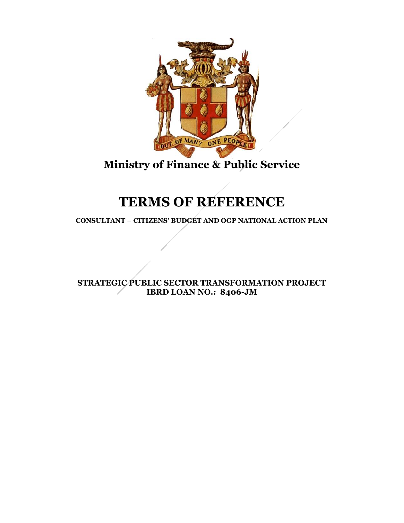

# **Ministry of Finance & Public Service**

# **TERMS OF REFERENCE**

**CONSULTANT – CITIZENS' BUDGET AND OGP NATIONAL ACTION PLAN**

**STRATEGIC PUBLIC SECTOR TRANSFORMATION PROJECT IBRD LOAN NO.: 8406-JM**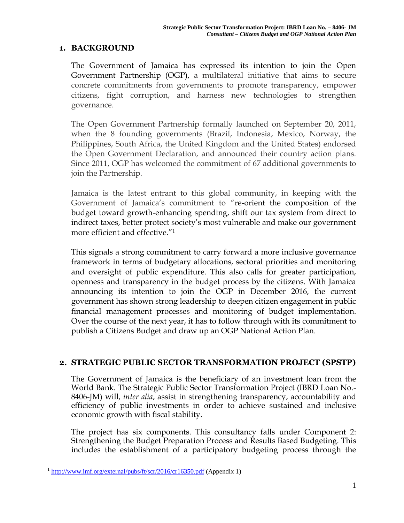#### **1. BACKGROUND**

The Government of Jamaica has expressed its intention to join the Open Government Partnership (OGP), a multilateral initiative that aims to secure concrete commitments from governments to promote transparency, empower citizens, fight corruption, and harness new technologies to strengthen governance.

The Open Government Partnership formally launched on September 20, 2011, when the 8 founding governments (Brazil, Indonesia, Mexico, Norway, the Philippines, South Africa, the United Kingdom and the United States) endorsed the Open Government Declaration, and announced their country action plans. Since 2011, OGP has welcomed the commitment of 67 additional governments to join the Partnership.

Jamaica is the latest entrant to this global community, in keeping with the Government of Jamaica's commitment to "re-orient the composition of the budget toward growth-enhancing spending, shift our tax system from direct to indirect taxes, better protect society's most vulnerable and make our government more efficient and effective."<sup>1</sup>

This signals a strong commitment to carry forward a more inclusive governance framework in terms of budgetary allocations, sectoral priorities and monitoring and oversight of public expenditure. This also calls for greater participation, openness and transparency in the budget process by the citizens. With Jamaica announcing its intention to join the OGP in December 2016, the current government has shown strong leadership to deepen citizen engagement in public financial management processes and monitoring of budget implementation. Over the course of the next year, it has to follow through with its commitment to publish a Citizens Budget and draw up an OGP National Action Plan.

# **2. STRATEGIC PUBLIC SECTOR TRANSFORMATION PROJECT (SPSTP)**

The Government of Jamaica is the beneficiary of an investment loan from the World Bank. The Strategic Public Sector Transformation Project (IBRD Loan No.- 8406-JM) will, *inter alia*, assist in strengthening transparency, accountability and efficiency of public investments in order to achieve sustained and inclusive economic growth with fiscal stability.

The project has six components. This consultancy falls under Component 2: Strengthening the Budget Preparation Process and Results Based Budgeting. This includes the establishment of a participatory budgeting process through the

 $1 \text{ http://www.imf.org/external/pubs/ft/scr/2016/cr16350.pdf}$  (Appendix 1)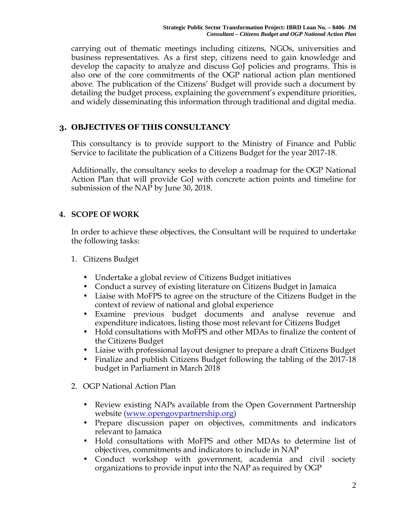carrying out of thematic meetings including citizens, NGOs, universities and business representatives. As a first step, citizens need to gain knowledge and develop the capacity to analyze and discuss GoJ policies and programs. This is also one of the core commitments of the OGP national action plan mentioned above. The publication of the Citizens' Budget will provide such a document by detailing the budget process, explaining the government's expenditure priorities, and widely disseminating this information through traditional and digital media.

# **3. OBJECTIVES OF THIS CONSULTANCY**

This consultancy is to provide support to the Ministry of Finance and Public Service to facilitate the publication of a Citizens Budget for the year 2017-18.

Additionally, the consultancy seeks to develop a roadmap for the OGP National Action Plan that will provide GoJ with concrete action points and timeline for submission of the NAP by June 30, 2018.

# **4. SCOPE OF WORK**

In order to achieve these objectives, the Consultant will be required to undertake the following tasks:

- 1. Citizens Budget
	- Undertake a global review of Citizens Budget initiatives
	- Conduct a survey of existing literature on Citizens Budget in Jamaica
	- Liaise with MoFPS to agree on the structure of the Citizens Budget in the context of review of national and global experience
	- Examine previous budget documents and analyse revenue and expenditure indicators, listing those most relevant for Citizens Budget
	- Hold consultations with MoFPS and other MDAs to finalize the content of the Citizens Budget
	- Liaise with professional layout designer to prepare a draft Citizens Budget
	- Finalize and publish Citizens Budget following the tabling of the 2017-18 budget in Parliament in March 2018
- 2. OGP National Action Plan
	- Review existing NAPs available from the Open Government Partnership website (www.opengovpartnership.org)
	- Prepare discussion paper on objectives, commitments and indicators relevant to Jamaica
	- Hold consultations with MoFPS and other MDAs to determine list of objectives, commitments and indicators to include in NAP
	- Conduct workshop with government, academia and civil society organizations to provide input into the NAP as required by OGP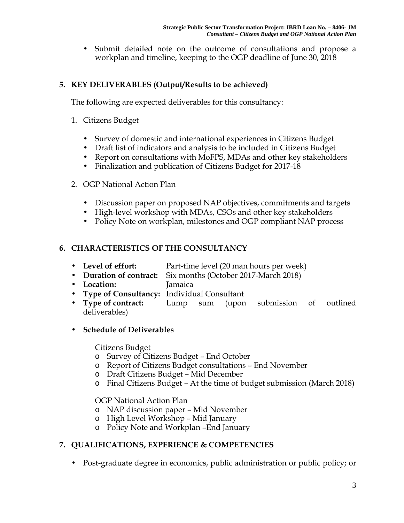Submit detailed note on the outcome of consultations and propose a workplan and timeline, keeping to the OGP deadline of June 30, 2018

# **5. KEY DELIVERABLES (Output/Results to be achieved)**

The following are expected deliverables for this consultancy:

- 1. Citizens Budget
	- Survey of domestic and international experiences in Citizens Budget
	- Draft list of indicators and analysis to be included in Citizens Budget
	- Report on consultations with MoFPS, MDAs and other key stakeholders
	- Finalization and publication of Citizens Budget for 2017-18

#### 2. OGP National Action Plan

- Discussion paper on proposed NAP objectives, commitments and targets
- High-level workshop with MDAs, CSOs and other key stakeholders
- Policy Note on workplan, milestones and OGP compliant NAP process

# **6. CHARACTERISTICS OF THE CONSULTANCY**

- **Level of effort:** Part-time level (20 man hours per week)
- **Duration of contract:** Six months (October 2017-March 2018)
- **Location:** Jamaica
- **Type of Consultancy:** Individual Consultant
- **Type of contract:** Lump sum (upon submission of outlined deliverables)

# **Schedule of Deliverables**

Citizens Budget

- o Survey of Citizens Budget End October
- o Report of Citizens Budget consultations End November
- o Draft Citizens Budget Mid December
- o Final Citizens Budget At the time of budget submission (March 2018)

OGP National Action Plan

- o NAP discussion paper Mid November
- o High Level Workshop –Mid January
- o Policy Note and Workplan –End January

# **7. QUALIFICATIONS, EXPERIENCE & COMPETENCIES**

Post-graduate degree in economics, public administration or public policy; or